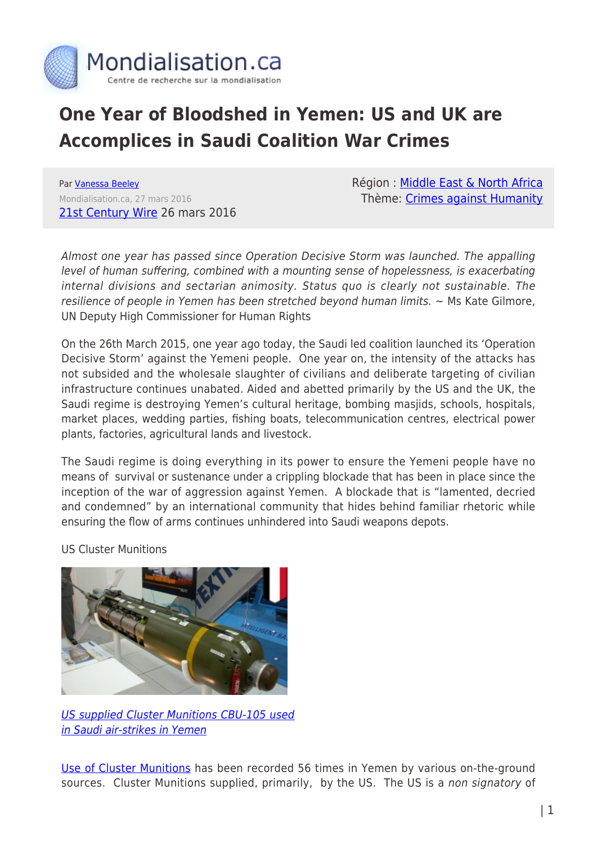

## **One Year of Bloodshed in Yemen: US and UK are Accomplices in Saudi Coalition War Crimes**

Par [Vanessa Beeley](https://www.mondialisation.ca/author/vanessa-beeley) Mondialisation.ca, 27 mars 2016 [21st Century Wire](http://21stcenturywire.com/2016/03/26/one-year-of-bloodshed-in-yemen-us-and-uk-are-accomplices-in-saudi-coalition-war-crimes/) 26 mars 2016 Région : [Middle East & North Africa](https://www.mondialisation.ca/region/middle-east) Thème: [Crimes against Humanity](https://www.mondialisation.ca/theme/crimes-against-humanity)

Almost one year has passed since Operation Decisive Storm was launched. The appalling level of human suffering, combined with a mounting sense of hopelessness, is exacerbating internal divisions and sectarian animosity. Status quo is clearly not sustainable. The resilience of people in Yemen has been stretched beyond human limits.  $\sim$  Ms Kate Gilmore, UN Deputy High Commissioner for Human Rights

On the 26th March 2015, one year ago today, the Saudi led coalition launched its 'Operation Decisive Storm' against the Yemeni people. One year on, the intensity of the attacks has not subsided and the wholesale slaughter of civilians and deliberate targeting of civilian infrastructure continues unabated. Aided and abetted primarily by the US and the UK, the Saudi regime is destroying Yemen's cultural heritage, bombing masjids, schools, hospitals, market places, wedding parties, fishing boats, telecommunication centres, electrical power plants, factories, agricultural lands and livestock.

The Saudi regime is doing everything in its power to ensure the Yemeni people have no means of survival or sustenance under a crippling blockade that has been in place since the inception of the war of aggression against Yemen. A blockade that is "lamented, decried and condemned" by an international community that hides behind familiar rhetoric while ensuring the flow of arms continues unhindered into Saudi weapons depots.

US Cluster Munitions



[US supplied Cluster Munitions CBU-105 used](https://www.youtube.com/watch?v=-yDt8Xe5_jM) [in Saudi air-strikes in Yemen](https://www.youtube.com/watch?v=-yDt8Xe5_jM)

[Use of Cluster Munitions](https://thewallwillfall.wordpress.com/2016/03/18/yemen-statement-on-illegal-use-of-cluster-munitions-on-civilian-targets/) has been recorded 56 times in Yemen by various on-the-ground sources. Cluster Munitions supplied, primarily, by the US. The US is a non signatory of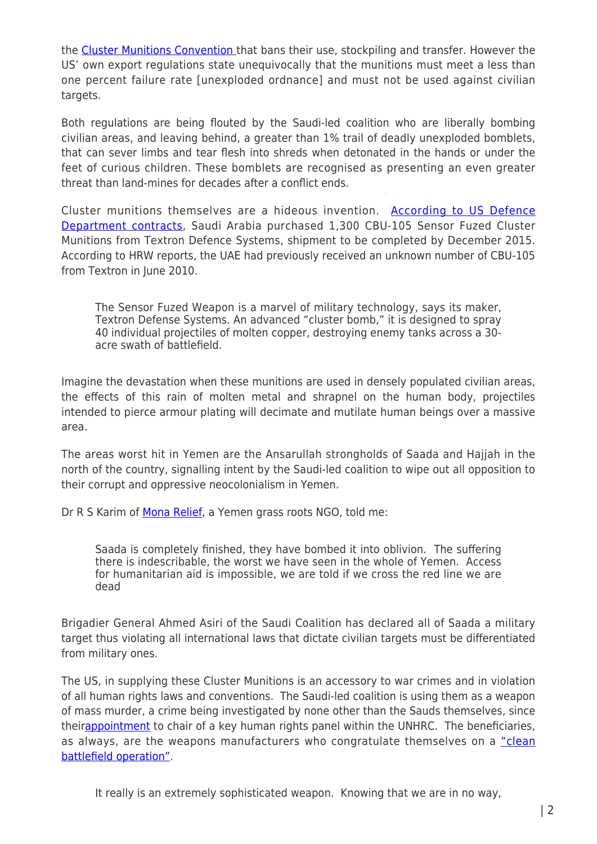the [Cluster Munitions Convention t](https://en.wikipedia.org/wiki/Convention_on_Cluster_Munitions)hat bans their use, stockpiling and transfer. However the US' own export regulations state unequivocally that the munitions must meet a less than one percent failure rate [unexploded ordnance] and must not be used against civilian targets.

Both regulations are being flouted by the Saudi-led coalition who are liberally bombing civilian areas, and leaving behind, a greater than 1% trail of deadly unexploded bomblets, that can sever limbs and tear flesh into shreds when detonated in the hands or under the feet of curious children. These bomblets are recognised as presenting an even greater threat than land-mines for decades after a conflict ends.

Cluster munitions themselves are a hideous invention. [According to US Defence](http://commondreams.org/news/2015/05/03/coalition-dropping-us-made-cluster-bombs-yemen) [Department contracts](http://commondreams.org/news/2015/05/03/coalition-dropping-us-made-cluster-bombs-yemen), Saudi Arabia purchased 1,300 CBU-105 Sensor Fuzed Cluster Munitions from Textron Defence Systems, shipment to be completed by December 2015. According to HRW reports, the UAE had previously received an unknown number of CBU-105 from Textron in June 2010.

The Sensor Fuzed Weapon is a marvel of military technology, says its maker, Textron Defense Systems. An advanced "cluster bomb," it is designed to spray 40 individual projectiles of molten copper, destroying enemy tanks across a 30 acre swath of battlefield.

Imagine the devastation when these munitions are used in densely populated civilian areas, the effects of this rain of molten metal and shrapnel on the human body, projectiles intended to pierce armour plating will decimate and mutilate human beings over a massive area.

The areas worst hit in Yemen are the Ansarullah strongholds of Saada and Hajjah in the north of the country, signalling intent by the Saudi-led coalition to wipe out all opposition to their corrupt and oppressive neocolonialism in Yemen.

Dr R S Karim of [Mona Relief,](http://monarelief.org/) a Yemen grass roots NGO, told me:

Saada is completely finished, they have bombed it into oblivion. The suffering there is indescribable, the worst we have seen in the whole of Yemen. Access for humanitarian aid is impossible, we are told if we cross the red line we are dead

Brigadier General Ahmed Asiri of the Saudi Coalition has declared all of Saada a military target thus violating all international laws that dictate civilian targets must be differentiated from military ones.

The US, in supplying these Cluster Munitions is an accessory to war crimes and in violation of all human rights laws and conventions. The Saudi-led coalition is using them as a weapon of mass murder, a crime being investigated by none other than the Sauds themselves, since their[appointment](http://www.independent.co.uk/news/world/anger-after-saudi-arabia-chosen-to-head-key-un-human-rights-panel-10509716.html) to chair of a key human rights panel within the UNHRC. The beneficiaries, as always, are the weapons manufacturers who congratulate themselves on a ["clean](http://www.commondreams.org/news/2009/09/20/made-mass-bomb-stirs-global-debate) [battlefield operation".](http://www.commondreams.org/news/2009/09/20/made-mass-bomb-stirs-global-debate)

It really is an extremely sophisticated weapon. Knowing that we are in no way,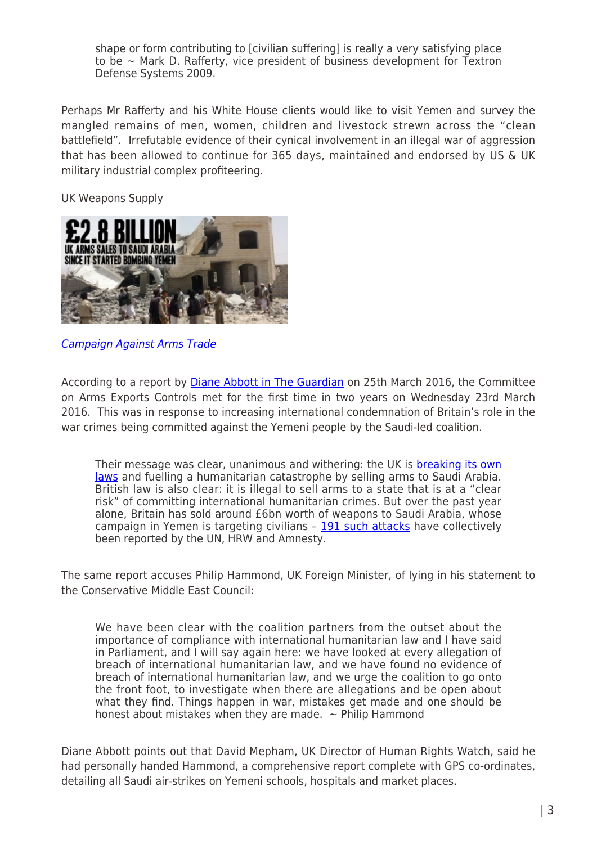shape or form contributing to [civilian suffering] is really a very satisfying place to be  $\sim$  Mark D. Rafferty, vice president of business development for Textron Defense Systems 2009.

Perhaps Mr Rafferty and his White House clients would like to visit Yemen and survey the mangled remains of men, women, children and livestock strewn across the "clean battlefield". Irrefutable evidence of their cynical involvement in an illegal war of aggression that has been allowed to continue for 365 days, maintained and endorsed by US & UK military industrial complex profiteering.

UK Weapons Supply



[Campaign Against Arms Trade](http://www.caat.org/)

According to a report by **[Diane Abbott in The Guardian](http://www.theguardian.com/commentisfree/2016/mar/25/british-arms-sales-saudi-arabia-immoral-illegal-yemen?utm_source=esp&utm_medium=Email&utm_campaign=The+Best+of+CiF+base&utm_term=163785&subid=15349596&CMP=ema_1364)** on 25th March 2016, the Committee on Arms Exports Controls met for the first time in two years on Wednesday 23rd March 2016. This was in response to increasing international condemnation of Britain's role in the war crimes being committed against the Yemeni people by the Saudi-led coalition.

Their message was clear, unanimous and withering: the UK is **breaking its own** [laws](http://www.theguardian.com/world/2016/jan/09/saudi-arms-sales-lawyers-warn-break-international-law-yemen) and fuelling a humanitarian catastrophe by selling arms to Saudi Arabia. British law is also clear: it is illegal to sell arms to a state that is at a "clear risk" of committing international humanitarian crimes. But over the past year alone, Britain has sold around £6bn worth of weapons to Saudi Arabia, whose campaign in Yemen is targeting civilians – [191 such attacks](http://awdnews.com/top-news/un-report-finds-%E2%80%98systematic%E2%80%99-saudi-targeting-of-yemeni-civilians) have collectively been reported by the UN, HRW and Amnesty.

The same report accuses Philip Hammond, UK Foreign Minister, of lying in his statement to the Conservative Middle East Council:

We have been clear with the coalition partners from the outset about the importance of compliance with international humanitarian law and I have said in Parliament, and I will say again here: we have looked at every allegation of breach of international humanitarian law, and we have found no evidence of breach of international humanitarian law, and we urge the coalition to go onto the front foot, to investigate when there are allegations and be open about what they find. Things happen in war, mistakes get made and one should be honest about mistakes when they are made.  $\sim$  Philip Hammond

Diane Abbott points out that David Mepham, UK Director of Human Rights Watch, said he had personally handed Hammond, a comprehensive report complete with GPS co-ordinates, detailing all Saudi air-strikes on Yemeni schools, hospitals and market places.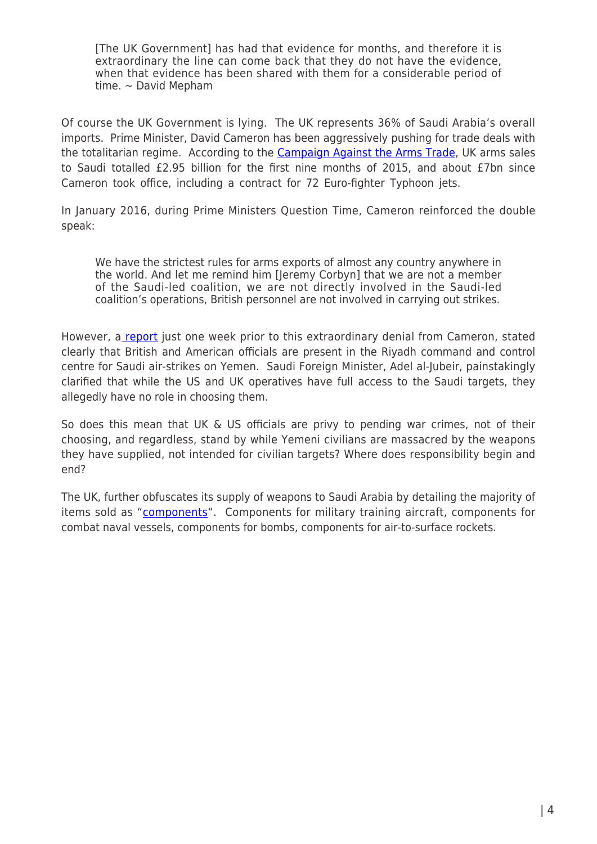[The UK Government] has had that evidence for months, and therefore it is extraordinary the line can come back that they do not have the evidence, when that evidence has been shared with them for a considerable period of time.  $\sim$  David Mepham

Of course the UK Government is lying. The UK represents 36% of Saudi Arabia's overall imports. Prime Minister, David Cameron has been aggressively pushing for trade deals with the totalitarian regime. According to the [Campaign Against the Arms Trade](https://www.caat.org.uk/), UK arms sales to Saudi totalled £2.95 billion for the first nine months of 2015, and about £7bn since Cameron took office, including a contract for 72 Euro-fighter Typhoon jets.

In January 2016, during Prime Ministers Question Time, Cameron reinforced the double speak:

We have the strictest rules for arms exports of almost any country anywhere in the world. And let me remind him [Jeremy Corbyn] that we are not a member of the Saudi-led coalition, we are not directly involved in the Saudi-led coalition's operations, British personnel are not involved in carrying out strikes.

However, a [report](http://www.theguardian.com/world/2016/jan/15/british-us-military-in-command-room-saudi-strikes-yemen) just one week prior to this extraordinary denial from Cameron, stated clearly that British and American officials are present in the Riyadh command and control centre for Saudi air-strikes on Yemen. Saudi Foreign Minister, Adel al-Jubeir, painstakingly clarified that while the US and UK operatives have full access to the Saudi targets, they allegedly have no role in choosing them.

So does this mean that UK & US officials are privy to pending war crimes, not of their choosing, and regardless, stand by while Yemeni civilians are massacred by the weapons they have supplied, not intended for civilian targets? Where does responsibility begin and end?

The UK, further obfuscates its supply of weapons to Saudi Arabia by detailing the majority of items sold as ["components](https://www.caat.org.uk/resources/export-licences/licence?rating=Military&date_to=2015-03-31®ion=Saudi+Arabia&date_from=2010-06)". Components for military training aircraft, components for combat naval vessels, components for bombs, components for air-to-surface rockets.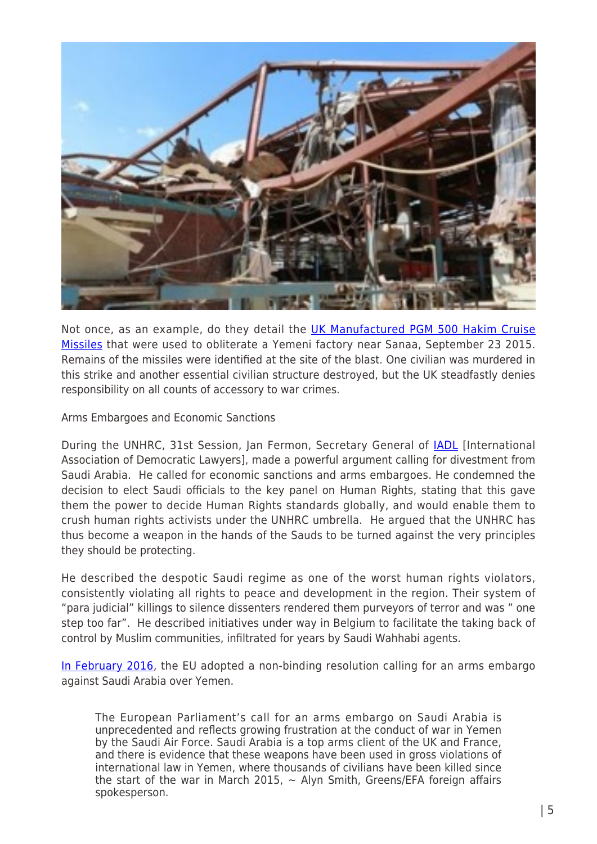

Not once, as an example, do they detail the [UK Manufactured PGM 500 Hakim Cruise](https://www.rt.com/news/323499-hrw-amnesty-saudi-yemen/) [Missiles](https://www.rt.com/news/323499-hrw-amnesty-saudi-yemen/) that were used to obliterate a Yemeni factory near Sanaa, September 23 2015. Remains of the missiles were identified at the site of the blast. One civilian was murdered in this strike and another essential civilian structure destroyed, but the UK steadfastly denies responsibility on all counts of accessory to war crimes.

Arms Embargoes and Economic Sanctions

During the UNHRC, 31st Session, Jan Fermon, Secretary General of **[IADL](http://www.iadllaw.org/)** [International Association of Democratic Lawyers], made a powerful argument calling for divestment from Saudi Arabia. He called for economic sanctions and arms embargoes. He condemned the decision to elect Saudi officials to the key panel on Human Rights, stating that this gave them the power to decide Human Rights standards globally, and would enable them to crush human rights activists under the UNHRC umbrella. He argued that the UNHRC has thus become a weapon in the hands of the Sauds to be turned against the very principles they should be protecting.

He described the despotic Saudi regime as one of the worst human rights violators, consistently violating all rights to peace and development in the region. Their system of "para judicial" killings to silence dissenters rendered them purveyors of terror and was " one step too far". He described initiatives under way in Belgium to facilitate the taking back of control by Muslim communities, infiltrated for years by Saudi Wahhabi agents.

[In February 2016](https://www.rt.com/news/333588-eu-parliament-saudi-embargo/), the EU adopted a non-binding resolution calling for an arms embargo against Saudi Arabia over Yemen.

The European Parliament's call for an arms embargo on Saudi Arabia is unprecedented and reflects growing frustration at the conduct of war in Yemen by the Saudi Air Force. Saudi Arabia is a top arms client of the UK and France, and there is evidence that these weapons have been used in gross violations of international law in Yemen, where thousands of civilians have been killed since the start of the war in March 2015,  $\sim$  Alyn Smith, Greens/EFA foreign affairs spokesperson.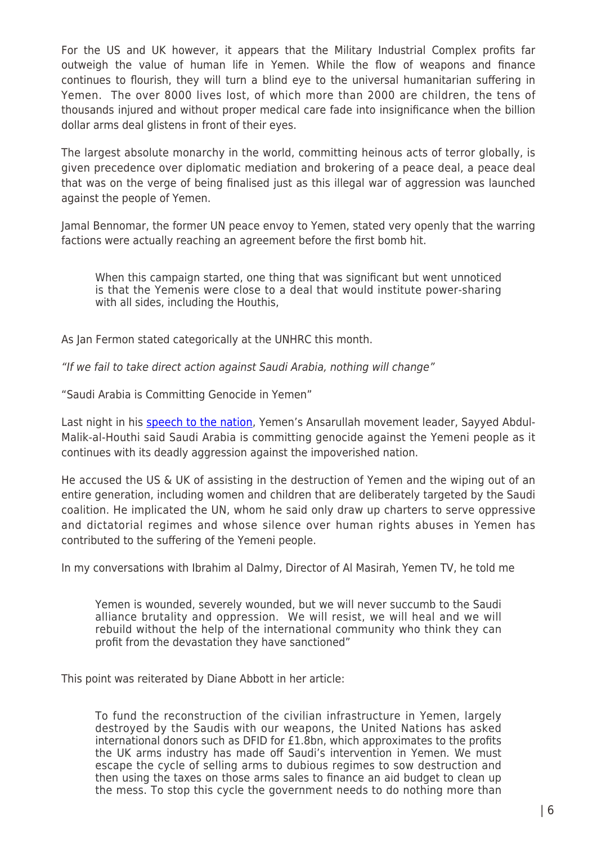For the US and UK however, it appears that the Military Industrial Complex profits far outweigh the value of human life in Yemen. While the flow of weapons and finance continues to flourish, they will turn a blind eye to the universal humanitarian suffering in Yemen. The over 8000 lives lost, of which more than 2000 are children, the tens of thousands injured and without proper medical care fade into insignificance when the billion dollar arms deal glistens in front of their eyes.

The largest absolute monarchy in the world, committing heinous acts of terror globally, is given precedence over diplomatic mediation and brokering of a peace deal, a peace deal that was on the verge of being finalised just as this illegal war of aggression was launched against the people of Yemen.

Jamal Bennomar, the former UN peace envoy to Yemen, stated very openly that the warring factions were actually reaching an agreement before the first bomb hit.

When this campaign started, one thing that was significant but went unnoticed is that the Yemenis were close to a deal that would institute power-sharing with all sides, including the Houthis,

As Jan Fermon stated categorically at the UNHRC this month.

"If we fail to take direct action against Saudi Arabia, nothing will change"

"Saudi Arabia is Committing Genocide in Yemen"

Last night in his [speech to the nation,](http://www.manartv.com.lb/english/adetails.php?fromval=1&cid=23&frid=23&eid=262634) Yemen's Ansarullah movement leader, Sayyed Abdul-Malik-al-Houthi said Saudi Arabia is committing genocide against the Yemeni people as it continues with its deadly aggression against the impoverished nation.

He accused the US & UK of assisting in the destruction of Yemen and the wiping out of an entire generation, including women and children that are deliberately targeted by the Saudi coalition. He implicated the UN, whom he said only draw up charters to serve oppressive and dictatorial regimes and whose silence over human rights abuses in Yemen has contributed to the suffering of the Yemeni people.

In my conversations with Ibrahim al Dalmy, Director of Al Masirah, Yemen TV, he told me

Yemen is wounded, severely wounded, but we will never succumb to the Saudi alliance brutality and oppression. We will resist, we will heal and we will rebuild without the help of the international community who think they can profit from the devastation they have sanctioned"

This point was reiterated by Diane Abbott in her article:

To fund the reconstruction of the civilian infrastructure in Yemen, largely destroyed by the Saudis with our weapons, the United Nations has asked international donors such as DFID for £1.8bn, which approximates to the profits the UK arms industry has made off Saudi's intervention in Yemen. We must escape the cycle of selling arms to dubious regimes to sow destruction and then using the taxes on those arms sales to finance an aid budget to clean up the mess. To stop this cycle the government needs to do nothing more than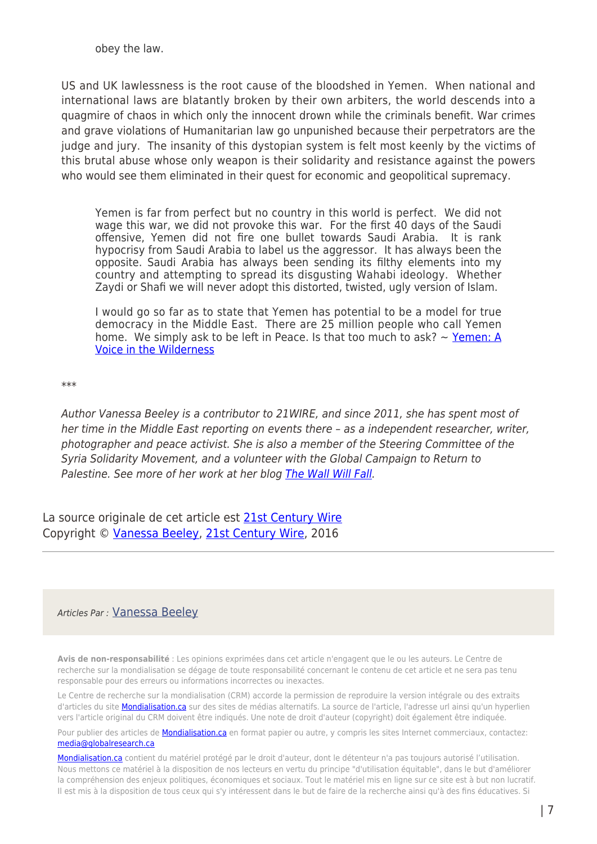obey the law.

US and UK lawlessness is the root cause of the bloodshed in Yemen. When national and international laws are blatantly broken by their own arbiters, the world descends into a quagmire of chaos in which only the innocent drown while the criminals benefit. War crimes and grave violations of Humanitarian law go unpunished because their perpetrators are the judge and jury. The insanity of this dystopian system is felt most keenly by the victims of this brutal abuse whose only weapon is their solidarity and resistance against the powers who would see them eliminated in their quest for economic and geopolitical supremacy.

Yemen is far from perfect but no country in this world is perfect. We did not wage this war, we did not provoke this war. For the first 40 days of the Saudi offensive, Yemen did not fire one bullet towards Saudi Arabia. It is rank hypocrisy from Saudi Arabia to label us the aggressor. It has always been the opposite. Saudi Arabia has always been sending its filthy elements into my country and attempting to spread its disgusting Wahabi ideology. Whether Zaydi or Shafi we will never adopt this distorted, twisted, ugly version of Islam.

I would go so far as to state that Yemen has potential to be a model for true democracy in the Middle East. There are 25 million people who call Yemen home. We simply ask to be left in Peace. Is that too much to ask?  $\sim$  [Yemen: A](http://dissidentvoice.org/2015/07/yemen-a-voice-in-the-wilderness/) [Voice in the Wilderness](http://dissidentvoice.org/2015/07/yemen-a-voice-in-the-wilderness/)

\*\*\*

Author Vanessa Beeley is a contributor to 21WIRE, and since 2011, she has spent most of her time in the Middle East reporting on events there - as a independent researcher, writer, photographer and peace activist. She is also a member of the Steering Committee of the Syria Solidarity Movement, and a volunteer with the Global Campaign to Return to Palestine. See more of her work at her blog [The Wall Will Fall](https://thewallwillfall.wordpress.com/).

La source originale de cet article est [21st Century Wire](http://21stcenturywire.com/2016/03/26/one-year-of-bloodshed-in-yemen-us-and-uk-are-accomplices-in-saudi-coalition-war-crimes/) Copyright © [Vanessa Beeley](https://www.mondialisation.ca/author/vanessa-beeley), [21st Century Wire](http://21stcenturywire.com/2016/03/26/one-year-of-bloodshed-in-yemen-us-and-uk-are-accomplices-in-saudi-coalition-war-crimes/), 2016

## Articles Par : [Vanessa Beeley](https://www.mondialisation.ca/author/vanessa-beeley)

**Avis de non-responsabilité** : Les opinions exprimées dans cet article n'engagent que le ou les auteurs. Le Centre de recherche sur la mondialisation se dégage de toute responsabilité concernant le contenu de cet article et ne sera pas tenu responsable pour des erreurs ou informations incorrectes ou inexactes.

Le Centre de recherche sur la mondialisation (CRM) accorde la permission de reproduire la version intégrale ou des extraits d'articles du site **Mondialisation.ca** sur des sites de médias alternatifs. La source de l'article, l'adresse url ainsi qu'un hyperlien vers l'article original du CRM doivent être indiqués. Une note de droit d'auteur (copyright) doit également être indiquée.

Pour publier des articles de **[Mondialisation.ca](https://mondialisation.ca)** en format papier ou autre, y compris les sites Internet commerciaux, contactez: [media@globalresearch.ca](mailto:media@globalresearch.ca)

[Mondialisation.ca](https://mondialisation.ca) contient du matériel protégé par le droit d'auteur, dont le détenteur n'a pas toujours autorisé l'utilisation. Nous mettons ce matériel à la disposition de nos lecteurs en vertu du principe "d'utilisation équitable", dans le but d'améliorer la compréhension des enjeux politiques, économiques et sociaux. Tout le matériel mis en ligne sur ce site est à but non lucratif. Il est mis à la disposition de tous ceux qui s'y intéressent dans le but de faire de la recherche ainsi qu'à des fins éducatives. Si